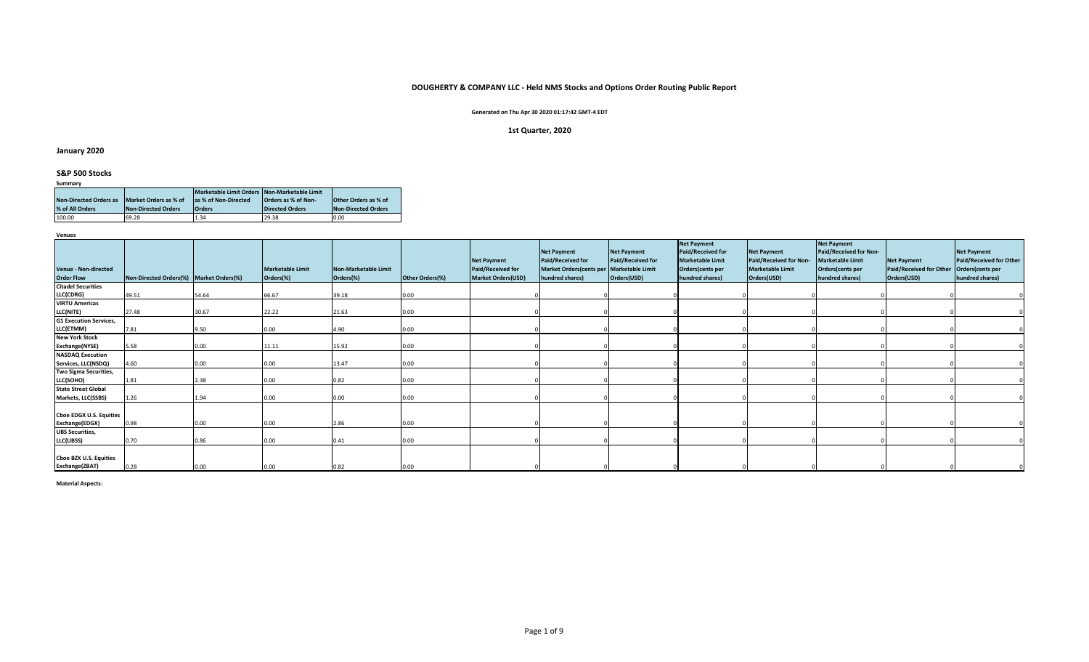## **DOUGHERTY & COMPANY LLC - Held NMS Stocks and Options Order Routing Public Report**

## **Generated on Thu Apr 30 2020 01:17:42 GMT-4 EDT**

## **1st Quarter, 2020**

## **January 2020**

# **S&P 500 Stocks**

| Summary                       |                       |                                              |                     |                             |  |  |  |  |  |  |  |  |  |
|-------------------------------|-----------------------|----------------------------------------------|---------------------|-----------------------------|--|--|--|--|--|--|--|--|--|
|                               |                       | Marketable Limit Orders Non-Marketable Limit |                     |                             |  |  |  |  |  |  |  |  |  |
| <b>Non-Directed Orders as</b> | Market Orders as % of | as % of Non-Directed                         | Orders as % of Non- | <b>Other Orders as % of</b> |  |  |  |  |  |  |  |  |  |
| % of All Orders               | Non-Directed Orders   | <b>Orders</b>                                | Directed Orders     | Non-Directed Orders         |  |  |  |  |  |  |  |  |  |
| 100.00                        | 69.28                 | 1.34                                         | 29.38               | 0.00                        |  |  |  |  |  |  |  |  |  |

**Venues**

|                                                  |                                         |       |                                      |                                   |                 |                                                                      | <b>Net Payment</b>                                                                        | <b>Net Payment</b>               | <b>Net Payment</b><br><b>Paid/Received for</b>                 | <b>Net Payment</b>                                               | <b>Net Payment</b><br>Paid/Received for Non-                   |                                                              | <b>Net Payment</b>                                             |
|--------------------------------------------------|-----------------------------------------|-------|--------------------------------------|-----------------------------------|-----------------|----------------------------------------------------------------------|-------------------------------------------------------------------------------------------|----------------------------------|----------------------------------------------------------------|------------------------------------------------------------------|----------------------------------------------------------------|--------------------------------------------------------------|----------------------------------------------------------------|
| <b>Venue - Non-directed</b><br><b>Order Flow</b> | Non-Directed Orders(%) Market Orders(%) |       | <b>Marketable Limit</b><br>Orders(%) | Non-Marketable Limit<br>Orders(%) | Other Orders(%) | <b>Net Payment</b><br><b>Paid/Received for</b><br>Market Orders(USD) | <b>Paid/Received for</b><br>Market Orders(cents per   Marketable Limit<br>hundred shares) | Paid/Received for<br>Orders(USD) | <b>Marketable Limit</b><br>Orders(cents per<br>hundred shares) | Paid/Received for Non-<br><b>Marketable Limit</b><br>Orders(USD) | <b>Marketable Limit</b><br>Orders(cents per<br>hundred shares) | <b>Net Payment</b><br>Paid/Received for Other<br>Orders(USD) | Paid/Received for Other<br>Orders(cents per<br>hundred shares) |
| <b>Citadel Securities</b><br>LLC(CDRG)           | 49.51                                   | 54.64 | 66.67                                | 39.18                             | 0.00            |                                                                      |                                                                                           |                                  |                                                                |                                                                  |                                                                |                                                              |                                                                |
| <b>VIRTU Americas</b><br><b>LLC(NITE)</b>        | 27.48                                   | 30.67 | 22.22                                | 21.63                             | 0.00            |                                                                      |                                                                                           |                                  |                                                                |                                                                  |                                                                |                                                              |                                                                |
| <b>G1 Execution Services,</b><br>LLC(ETMM)       | 7.81                                    | 9.50  | 0.00                                 | 4.90                              | 0.00            |                                                                      |                                                                                           |                                  |                                                                |                                                                  |                                                                |                                                              |                                                                |
| <b>New York Stock</b><br><b>Exchange(NYSE)</b>   | 5.58                                    | 0.00  | 11.11                                | 15.92                             | 0.00            |                                                                      |                                                                                           |                                  |                                                                |                                                                  |                                                                |                                                              |                                                                |
| <b>NASDAQ Execution</b><br>Services, LLC(NSDQ)   | 4.60                                    | 0.00  | 0.00                                 | 13.47                             | 0.00            |                                                                      |                                                                                           |                                  |                                                                |                                                                  |                                                                |                                                              |                                                                |
| Two Sigma Securities,<br>LLC(SOHO)               | 1.81                                    | 2.38  | 0.00                                 | 0.82                              | 0.00            |                                                                      |                                                                                           |                                  |                                                                |                                                                  |                                                                |                                                              |                                                                |
| <b>State Street Global</b><br>Markets, LLC(SSBS) | 1.26                                    | 1.94  | 0.00                                 | 0.00                              | 0.00            |                                                                      |                                                                                           |                                  |                                                                |                                                                  |                                                                |                                                              |                                                                |
| <b>Cboe EDGX U.S. Equities</b>                   |                                         |       |                                      |                                   |                 |                                                                      |                                                                                           |                                  |                                                                |                                                                  |                                                                |                                                              |                                                                |
| Exchange(EDGX)<br><b>UBS Securities,</b>         | 0.98                                    | 0.00  | 0.00                                 | 2.86                              | 0.00            |                                                                      |                                                                                           |                                  |                                                                |                                                                  |                                                                |                                                              |                                                                |
| LLC(UBSS)                                        | 0.70                                    | 0.86  | 0.00                                 | 0.41                              | 0.00            |                                                                      |                                                                                           |                                  |                                                                |                                                                  |                                                                |                                                              |                                                                |
| Cboe BZX U.S. Equities<br>Exchange(ZBAT)         | 0.28                                    | 0.00  | 0.00                                 | 0.82                              | 0.00            |                                                                      |                                                                                           |                                  |                                                                |                                                                  |                                                                |                                                              |                                                                |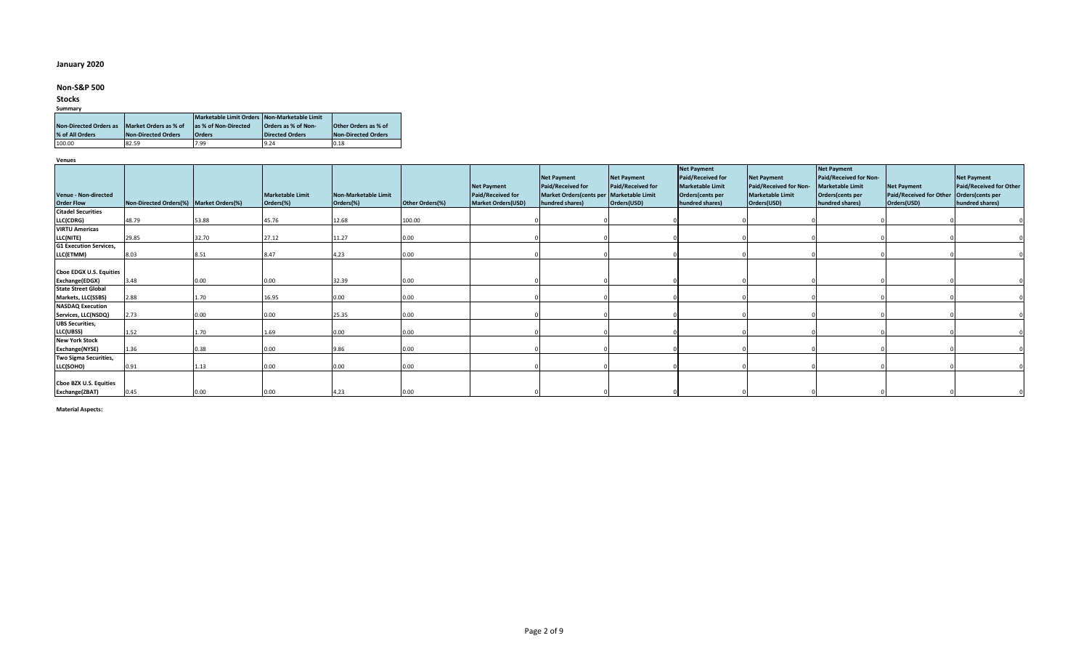## **January 2020**

## **Non-S&P 500**

## **Stocks**

#### **Summary**

|                               |                       | Marketable Limit Orders Non-Marketable Limit |                        |                             |
|-------------------------------|-----------------------|----------------------------------------------|------------------------|-----------------------------|
| <b>Non-Directed Orders as</b> | Market Orders as % of | as % of Non-Directed                         | Orders as % of Non-    | <b>Other Orders as % of</b> |
| % of All Orders               | Non-Directed Orders   | <b>Orders</b>                                | <b>Directed Orders</b> | Non-Directed Orders         |
| 100.00                        | 82.59                 | 7.99                                         | 9.24                   | 0.18                        |

**Venues**

| Venue - Non-directed<br><b>Order Flow</b>        | Non-Directed Orders(%) Market Orders(%) |       | <b>Marketable Limit</b><br>Orders(%) | <b>Non-Marketable Limit</b><br>Orders(%) | Other Orders(%) | <b>Net Payment</b><br><b>Paid/Received for</b><br><b>Market Orders(USD)</b> | <b>Net Payment</b><br>Paid/Received for<br>Market Orders(cents per   Marketable Limit<br>hundred shares) | <b>Net Payment</b><br><b>Paid/Received for</b><br>Orders(USD) | <b>Net Payment</b><br>Paid/Received for<br><b>Marketable Limit</b><br>Orders(cents per<br>hundred shares) | <b>Net Payment</b><br>Paid/Received for Non-<br><b>Marketable Limit</b><br>Orders(USD) | <b>Net Payment</b><br>Paid/Received for Non-<br>Marketable Limit<br>Orders(cents per<br>hundred shares) | <b>Net Payment</b><br><b>Paid/Received for Other</b><br>Orders(USD) | <b>Net Payment</b><br>Paid/Received for Other<br>Orders(cents per<br>hundred shares) |
|--------------------------------------------------|-----------------------------------------|-------|--------------------------------------|------------------------------------------|-----------------|-----------------------------------------------------------------------------|----------------------------------------------------------------------------------------------------------|---------------------------------------------------------------|-----------------------------------------------------------------------------------------------------------|----------------------------------------------------------------------------------------|---------------------------------------------------------------------------------------------------------|---------------------------------------------------------------------|--------------------------------------------------------------------------------------|
| <b>Citadel Securities</b>                        |                                         |       |                                      |                                          |                 |                                                                             |                                                                                                          |                                                               |                                                                                                           |                                                                                        |                                                                                                         |                                                                     |                                                                                      |
| LLC(CDRG)                                        | 48.79                                   | 53.88 | 45.76                                | 12.68                                    | 100.00          |                                                                             |                                                                                                          |                                                               |                                                                                                           |                                                                                        |                                                                                                         |                                                                     |                                                                                      |
| <b>VIRTU Americas</b>                            |                                         |       |                                      |                                          |                 |                                                                             |                                                                                                          |                                                               |                                                                                                           |                                                                                        |                                                                                                         |                                                                     |                                                                                      |
| LLC(NITE)                                        | 29.85                                   | 32.70 | 27.12                                | 11.27                                    | 0.00            |                                                                             |                                                                                                          |                                                               |                                                                                                           |                                                                                        |                                                                                                         |                                                                     |                                                                                      |
| <b>G1 Execution Services,</b>                    |                                         |       |                                      |                                          |                 |                                                                             |                                                                                                          |                                                               |                                                                                                           |                                                                                        |                                                                                                         |                                                                     |                                                                                      |
| LLC(ETMM)                                        | 8.03                                    | 8.51  | 8.47                                 | 4.23                                     | 0.00            |                                                                             |                                                                                                          |                                                               |                                                                                                           |                                                                                        |                                                                                                         |                                                                     |                                                                                      |
| <b>Cboe EDGX U.S. Equities</b><br>Exchange(EDGX) | 3.48                                    | 0.00  | 0.00                                 | 32.39                                    | 0.00            |                                                                             |                                                                                                          |                                                               |                                                                                                           |                                                                                        |                                                                                                         |                                                                     |                                                                                      |
| <b>State Street Global</b>                       |                                         |       |                                      |                                          |                 |                                                                             |                                                                                                          |                                                               |                                                                                                           |                                                                                        |                                                                                                         |                                                                     |                                                                                      |
| Markets, LLC(SSBS)                               | 2.88                                    | 1.70  | 16.95                                | 0.00                                     | 0.00            |                                                                             |                                                                                                          |                                                               |                                                                                                           |                                                                                        |                                                                                                         |                                                                     |                                                                                      |
| <b>NASDAQ Execution</b><br>Services, LLC(NSDQ)   | 2.73                                    | 0.00  | 0.00                                 | 25.35                                    | 0.00            |                                                                             |                                                                                                          |                                                               |                                                                                                           |                                                                                        |                                                                                                         |                                                                     |                                                                                      |
| <b>UBS Securities,</b><br>LLC(UBSS)              | 1.52                                    | 1.70  | 1.69                                 | 0.00                                     | 0.00            |                                                                             |                                                                                                          |                                                               |                                                                                                           |                                                                                        |                                                                                                         |                                                                     |                                                                                      |
| <b>New York Stock</b>                            |                                         |       |                                      |                                          |                 |                                                                             |                                                                                                          |                                                               |                                                                                                           |                                                                                        |                                                                                                         |                                                                     |                                                                                      |
| Exchange(NYSE)                                   | 1.36                                    | 0.38  | 0.00                                 | 9.86                                     | 0.00            |                                                                             |                                                                                                          |                                                               |                                                                                                           |                                                                                        |                                                                                                         |                                                                     |                                                                                      |
| Two Sigma Securities,                            |                                         |       |                                      |                                          |                 |                                                                             |                                                                                                          |                                                               |                                                                                                           |                                                                                        |                                                                                                         |                                                                     |                                                                                      |
| LLC(SOHO)                                        | 0.91                                    | 1.13  | 0.00                                 | 0.00                                     | 0.00            |                                                                             |                                                                                                          |                                                               |                                                                                                           |                                                                                        |                                                                                                         |                                                                     |                                                                                      |
| Cboe BZX U.S. Equities<br>Exchange(ZBAT)         | 0.45                                    | 0.00  | 0.00                                 | 4.23                                     | 0.00            |                                                                             |                                                                                                          |                                                               |                                                                                                           |                                                                                        |                                                                                                         |                                                                     |                                                                                      |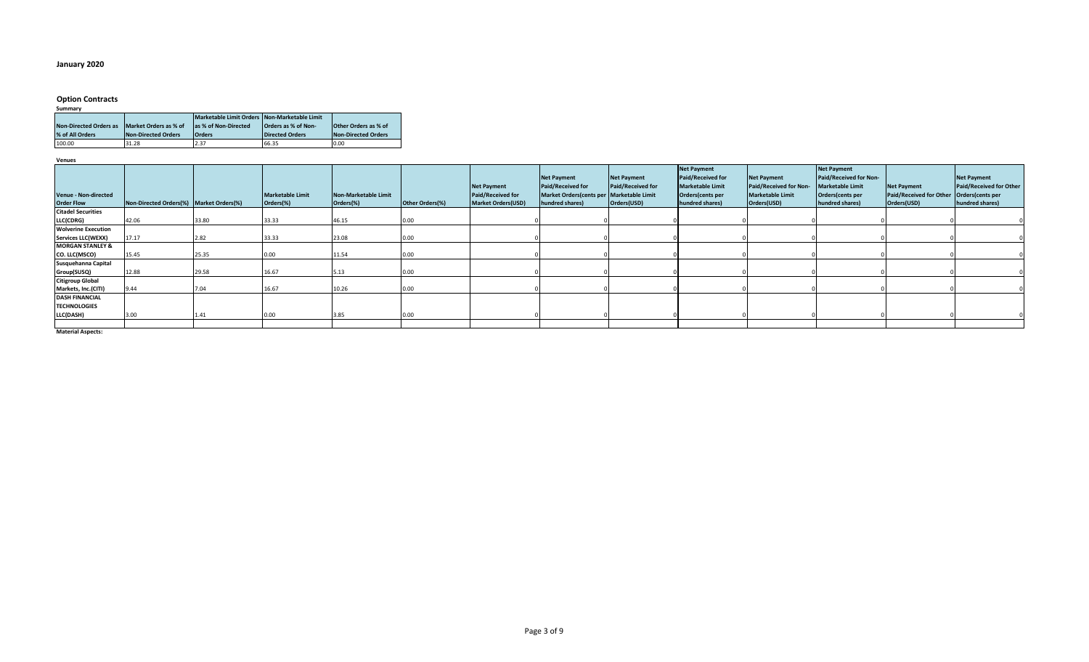## **January 2020**

# **Option Contracts**

| Summary                       |                       |                                              |                        |                             |
|-------------------------------|-----------------------|----------------------------------------------|------------------------|-----------------------------|
|                               |                       | Marketable Limit Orders Non-Marketable Limit |                        |                             |
| <b>Non-Directed Orders as</b> | Market Orders as % of | las % of Non-Directed                        | Orders as % of Non-    | <b>Other Orders as % of</b> |
| % of All Orders               | Non-Directed Orders   | <b>Orders</b>                                | <b>Directed Orders</b> | <b>Non-Directed Orders</b>  |
| 100.00                        | 31.28                 | 2.37                                         | 66.35                  | 0.00                        |

**Venues**

| Venue - Non-directed<br><b>Order Flow</b> | Non-Directed Orders(%)   Market Orders(%) |       | <b>Marketable Limit</b><br>Orders(%) | Non-Marketable Limit<br>Orders(%) | Other Orders(%) | <b>Net Payment</b><br><b>Paid/Received for</b><br><b>Market Orders(USD)</b> | <b>Net Payment</b><br>Paid/Received for<br>Market Orders(cents per Marketable Limit<br>hundred shares) | <b>Net Payment</b><br>Paid/Received for<br>Orders(USD) | <b>Net Payment</b><br>Paid/Received for<br><b>Marketable Limit</b><br>Orders(cents per<br>hundred shares) | <b>Net Payment</b><br>Paid/Received for Non-<br><b>Marketable Limit</b><br>Orders(USD) | Net Payment<br>Paid/Received for Non-<br><b>Marketable Limit</b><br>Orders(cents per<br>hundred shares) | <b>Net Payment</b><br>Paid/Received for Other Orders (cents per<br>Orders(USD) | <b>Net Payment</b><br>Paid/Received for Other<br>hundred shares) |
|-------------------------------------------|-------------------------------------------|-------|--------------------------------------|-----------------------------------|-----------------|-----------------------------------------------------------------------------|--------------------------------------------------------------------------------------------------------|--------------------------------------------------------|-----------------------------------------------------------------------------------------------------------|----------------------------------------------------------------------------------------|---------------------------------------------------------------------------------------------------------|--------------------------------------------------------------------------------|------------------------------------------------------------------|
| <b>Citadel Securities</b>                 |                                           |       |                                      |                                   |                 |                                                                             |                                                                                                        |                                                        |                                                                                                           |                                                                                        |                                                                                                         |                                                                                |                                                                  |
| LLC(CDRG)                                 | 42.06                                     | 33.80 | 33.33                                | 46.15                             | 0.00            |                                                                             |                                                                                                        |                                                        |                                                                                                           |                                                                                        |                                                                                                         |                                                                                |                                                                  |
| <b>Wolverine Execution</b>                |                                           |       |                                      |                                   |                 |                                                                             |                                                                                                        |                                                        |                                                                                                           |                                                                                        |                                                                                                         |                                                                                |                                                                  |
| <b>Services LLC(WEXX)</b>                 | 17.17                                     | 2.82  | 33.33                                | 23.08                             | 0.00            |                                                                             |                                                                                                        |                                                        |                                                                                                           |                                                                                        |                                                                                                         |                                                                                |                                                                  |
| <b>MORGAN STANLEY &amp;</b>               |                                           |       |                                      |                                   |                 |                                                                             |                                                                                                        |                                                        |                                                                                                           |                                                                                        |                                                                                                         |                                                                                |                                                                  |
| CO. LLC(MSCO)                             | 15.45                                     | 25.35 | 0.00                                 | 11.54                             | 0.00            |                                                                             |                                                                                                        |                                                        |                                                                                                           |                                                                                        |                                                                                                         |                                                                                |                                                                  |
| Susquehanna Capital                       |                                           |       |                                      |                                   |                 |                                                                             |                                                                                                        |                                                        |                                                                                                           |                                                                                        |                                                                                                         |                                                                                |                                                                  |
| Group(SUSQ)                               | 12.88                                     | 29.58 | 16.67                                | 5.13                              | 0.00            |                                                                             |                                                                                                        |                                                        |                                                                                                           |                                                                                        |                                                                                                         |                                                                                |                                                                  |
| <b>Citigroup Global</b>                   |                                           |       |                                      |                                   |                 |                                                                             |                                                                                                        |                                                        |                                                                                                           |                                                                                        |                                                                                                         |                                                                                |                                                                  |
| Markets, Inc.(CITI)                       | 9.44                                      | 7.04  | 16.67                                | 10.26                             | 0.00            |                                                                             |                                                                                                        |                                                        |                                                                                                           |                                                                                        |                                                                                                         |                                                                                |                                                                  |
| <b>DASH FINANCIAL</b>                     |                                           |       |                                      |                                   |                 |                                                                             |                                                                                                        |                                                        |                                                                                                           |                                                                                        |                                                                                                         |                                                                                |                                                                  |
| <b>TECHNOLOGIES</b>                       |                                           |       |                                      |                                   |                 |                                                                             |                                                                                                        |                                                        |                                                                                                           |                                                                                        |                                                                                                         |                                                                                |                                                                  |
| LLC(DASH)                                 | 3.00                                      | 1.41  |                                      | 3.85                              | 0.00            |                                                                             |                                                                                                        |                                                        |                                                                                                           |                                                                                        |                                                                                                         |                                                                                |                                                                  |
|                                           |                                           |       |                                      |                                   |                 |                                                                             |                                                                                                        |                                                        |                                                                                                           |                                                                                        |                                                                                                         |                                                                                |                                                                  |
|                                           |                                           |       |                                      |                                   |                 |                                                                             |                                                                                                        |                                                        |                                                                                                           |                                                                                        |                                                                                                         |                                                                                |                                                                  |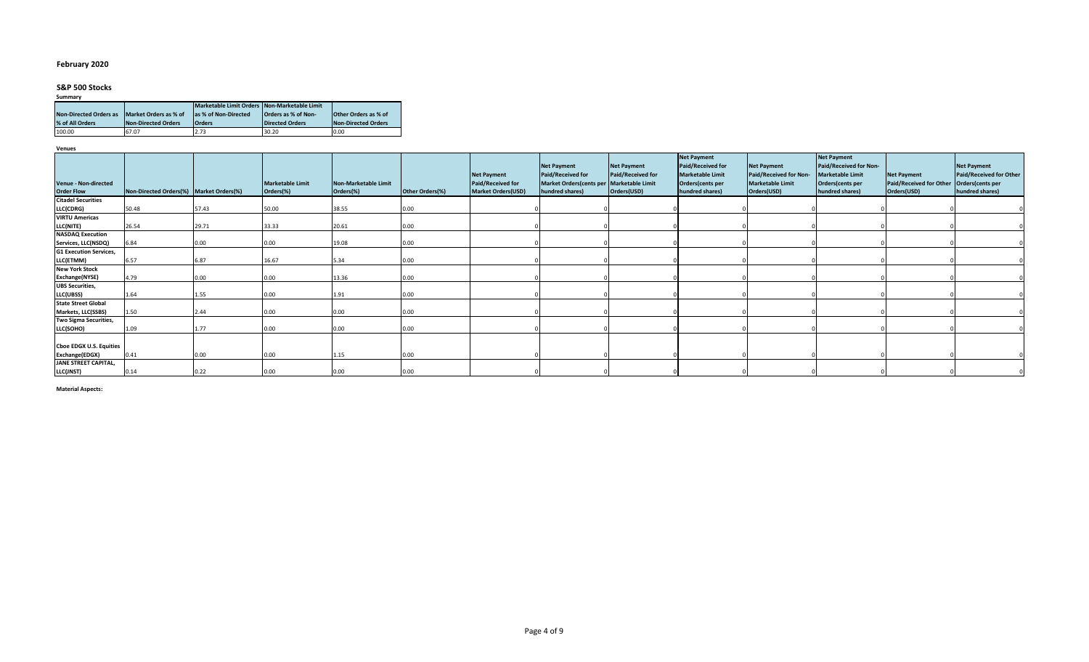## **February 2020**

# **S&P 500 Stocks**

| Summary                       |                       |                                              |                     |                             |
|-------------------------------|-----------------------|----------------------------------------------|---------------------|-----------------------------|
|                               |                       | Marketable Limit Orders Non-Marketable Limit |                     |                             |
| <b>Non-Directed Orders as</b> | Market Orders as % of | as % of Non-Directed                         | Orders as % of Non- | <b>Other Orders as % of</b> |
| % of All Orders               | Non-Directed Orders   | Orders                                       | Directed Orders     | Non-Directed Orders         |
| 100.00                        | 67.07                 | 2.73                                         | 30.20               | 0.00                        |

**Venues**

|                                                  |                                         |       |                                      |                                          |                 |                                                                      | <b>Net Payment</b>                                                               | <b>Net Payment</b>               | <b>Net Payment</b><br>Paid/Received for                        | <b>Net Payment</b>                                               | <b>Net Payment</b><br>Paid/Received for Non-                   |                                                                     | <b>Net Payment</b>                                             |
|--------------------------------------------------|-----------------------------------------|-------|--------------------------------------|------------------------------------------|-----------------|----------------------------------------------------------------------|----------------------------------------------------------------------------------|----------------------------------|----------------------------------------------------------------|------------------------------------------------------------------|----------------------------------------------------------------|---------------------------------------------------------------------|----------------------------------------------------------------|
| <b>Venue - Non-directed</b><br><b>Order Flow</b> | Non-Directed Orders(%) Market Orders(%) |       | <b>Marketable Limit</b><br>Orders(%) | <b>Non-Marketable Limit</b><br>Orders(%) | Other Orders(%) | <b>Net Payment</b><br>Paid/Received for<br><b>Market Orders(USD)</b> | Paid/Received for<br>Market Orders(cents per Marketable Limit<br>hundred shares) | Paid/Received for<br>Orders(USD) | <b>Marketable Limit</b><br>Orders(cents per<br>hundred shares) | Paid/Received for Non-<br><b>Marketable Limit</b><br>Orders(USD) | <b>Marketable Limit</b><br>Orders(cents per<br>hundred shares) | <b>Net Payment</b><br><b>Paid/Received for Other</b><br>Orders(USD) | Paid/Received for Other<br>Orders(cents per<br>hundred shares) |
| <b>Citadel Securities</b>                        |                                         |       |                                      |                                          |                 |                                                                      |                                                                                  |                                  |                                                                |                                                                  |                                                                |                                                                     |                                                                |
| LLC(CDRG)                                        | 50.48                                   | 57.43 | 50.00                                | 38.55                                    | 0.00            |                                                                      |                                                                                  |                                  |                                                                |                                                                  |                                                                |                                                                     |                                                                |
| <b>VIRTU Americas</b>                            |                                         |       |                                      |                                          |                 |                                                                      |                                                                                  |                                  |                                                                |                                                                  |                                                                |                                                                     |                                                                |
| LLC(NITE)                                        | 26.54                                   | 29.71 | 33.33                                | 20.61                                    | 0.00            |                                                                      |                                                                                  |                                  |                                                                |                                                                  |                                                                |                                                                     |                                                                |
| <b>NASDAQ Execution</b>                          |                                         |       |                                      |                                          |                 |                                                                      |                                                                                  |                                  |                                                                |                                                                  |                                                                |                                                                     |                                                                |
| Services, LLC(NSDQ)                              | 6.84                                    | 0.00  | 0.00                                 | 19.08                                    | 0.00            |                                                                      |                                                                                  |                                  |                                                                |                                                                  |                                                                |                                                                     |                                                                |
| <b>G1 Execution Services,</b>                    |                                         |       |                                      |                                          |                 |                                                                      |                                                                                  |                                  |                                                                |                                                                  |                                                                |                                                                     |                                                                |
| LLC(ETMM)                                        | 6.57                                    | 6.87  | 16.67                                | 5.34                                     | 0.00            |                                                                      |                                                                                  |                                  |                                                                |                                                                  |                                                                |                                                                     |                                                                |
| <b>New York Stock</b>                            |                                         |       |                                      |                                          |                 |                                                                      |                                                                                  |                                  |                                                                |                                                                  |                                                                |                                                                     |                                                                |
| Exchange(NYSE)                                   | 4.79                                    | 0.00  | 0.00                                 | 13.36                                    | 0.00            |                                                                      |                                                                                  |                                  |                                                                |                                                                  |                                                                |                                                                     |                                                                |
| <b>UBS Securities,</b>                           |                                         |       |                                      |                                          |                 |                                                                      |                                                                                  |                                  |                                                                |                                                                  |                                                                |                                                                     |                                                                |
| LLC(UBSS)                                        | 1.64                                    | 1.55  | 0.00                                 | 1.91                                     | 0.00            |                                                                      |                                                                                  |                                  |                                                                |                                                                  |                                                                |                                                                     |                                                                |
| <b>State Street Global</b>                       |                                         |       |                                      |                                          |                 |                                                                      |                                                                                  |                                  |                                                                |                                                                  |                                                                |                                                                     |                                                                |
| Markets, LLC(SSBS)                               | 1.50                                    | 2.44  | 0.00                                 | 0.00                                     | 0.00            |                                                                      |                                                                                  |                                  |                                                                |                                                                  |                                                                |                                                                     |                                                                |
| Two Sigma Securities,                            |                                         |       |                                      |                                          |                 |                                                                      |                                                                                  |                                  |                                                                |                                                                  |                                                                |                                                                     |                                                                |
| LLC(SOHO)                                        | 1.09                                    | 1.77  | 0.00                                 | 0.00                                     | 0.00            |                                                                      |                                                                                  |                                  |                                                                |                                                                  |                                                                |                                                                     |                                                                |
|                                                  |                                         |       |                                      |                                          |                 |                                                                      |                                                                                  |                                  |                                                                |                                                                  |                                                                |                                                                     |                                                                |
| <b>Choe EDGX U.S. Equities</b>                   |                                         |       |                                      |                                          |                 |                                                                      |                                                                                  |                                  |                                                                |                                                                  |                                                                |                                                                     |                                                                |
| Exchange(EDGX)                                   | 0.41                                    | 0.00  | 0.00                                 | 1.15                                     | 0.00            |                                                                      |                                                                                  |                                  |                                                                |                                                                  |                                                                |                                                                     |                                                                |
| JANE STREET CAPITAL,                             |                                         |       |                                      |                                          |                 |                                                                      |                                                                                  |                                  |                                                                |                                                                  |                                                                |                                                                     |                                                                |
| LLC(JNST)                                        | 0.14                                    | 0.22  | 0.00                                 | 0.00                                     | 0.00            |                                                                      |                                                                                  |                                  |                                                                |                                                                  |                                                                |                                                                     |                                                                |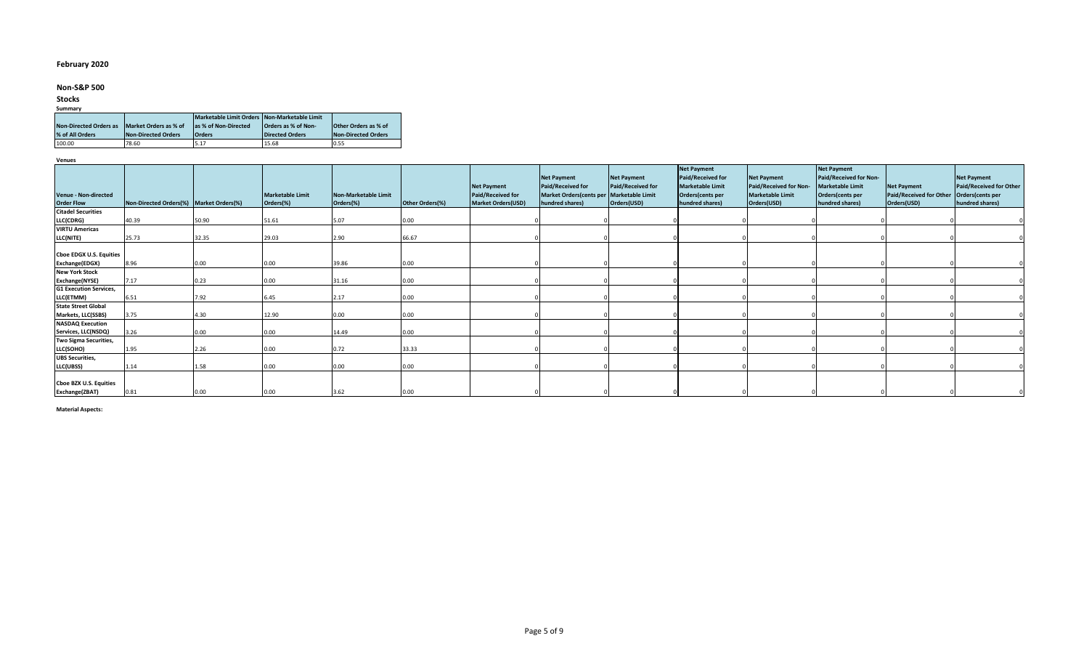## **February 2020**

## **Non-S&P 500**

## **Stocks**

# **Summary**

|                               |                       | Marketable Limit Orders Non-Marketable Limit |                        |                             |
|-------------------------------|-----------------------|----------------------------------------------|------------------------|-----------------------------|
| <b>Non-Directed Orders as</b> | Market Orders as % of | as % of Non-Directed                         | Orders as % of Non-    | <b>Other Orders as % of</b> |
| % of All Orders               | Non-Directed Orders   | <b>Orders</b>                                | <b>Directed Orders</b> | Non-Directed Orders         |
| 100.00                        | 78.60                 | 5.17                                         | 15.68                  | 0.55                        |

**Venues**

|                                                  |                                         |       |                                      |                                   |                 |                                                                             | <b>Net Payment</b>                                                               | <b>Net Payment</b>               | <b>Net Payment</b><br>Paid/Received for                        | <b>Net Payment</b>                                               | <b>Net Payment</b><br>Paid/Received for Non-                   |                                                              | <b>Net Payment</b>                                             |
|--------------------------------------------------|-----------------------------------------|-------|--------------------------------------|-----------------------------------|-----------------|-----------------------------------------------------------------------------|----------------------------------------------------------------------------------|----------------------------------|----------------------------------------------------------------|------------------------------------------------------------------|----------------------------------------------------------------|--------------------------------------------------------------|----------------------------------------------------------------|
| <b>Venue - Non-directed</b><br><b>Order Flow</b> | Non-Directed Orders(%) Market Orders(%) |       | <b>Marketable Limit</b><br>Orders(%) | Non-Marketable Limit<br>Orders(%) | Other Orders(%) | <b>Net Payment</b><br><b>Paid/Received for</b><br><b>Market Orders(USD)</b> | Paid/Received for<br>Market Orders(cents per Marketable Limit<br>hundred shares) | Paid/Received for<br>Orders(USD) | <b>Marketable Limit</b><br>Orders(cents per<br>hundred shares) | Paid/Received for Non-<br><b>Marketable Limit</b><br>Orders(USD) | <b>Marketable Limit</b><br>Orders(cents per<br>hundred shares) | <b>Net Payment</b><br>Paid/Received for Other<br>Orders(USD) | Paid/Received for Other<br>Orders(cents per<br>hundred shares) |
| <b>Citadel Securities</b>                        |                                         |       |                                      |                                   |                 |                                                                             |                                                                                  |                                  |                                                                |                                                                  |                                                                |                                                              |                                                                |
| LLC(CDRG)                                        | 40.39                                   | 50.90 | 51.61                                | 5.07                              | 0.00            |                                                                             |                                                                                  |                                  |                                                                |                                                                  |                                                                |                                                              |                                                                |
| <b>VIRTU Americas</b>                            |                                         |       |                                      |                                   |                 |                                                                             |                                                                                  |                                  |                                                                |                                                                  |                                                                |                                                              |                                                                |
| <b>LLC(NITE)</b>                                 | 25.73                                   | 32.35 | 29.03                                | 2.90                              | 66.67           |                                                                             |                                                                                  |                                  |                                                                |                                                                  |                                                                |                                                              |                                                                |
|                                                  |                                         |       |                                      |                                   |                 |                                                                             |                                                                                  |                                  |                                                                |                                                                  |                                                                |                                                              |                                                                |
| Cboe EDGX U.S. Equities                          |                                         |       |                                      |                                   |                 |                                                                             |                                                                                  |                                  |                                                                |                                                                  |                                                                |                                                              |                                                                |
| Exchange(EDGX)                                   | 8.96                                    | 0.00  | 0.00                                 | 39.86                             | 0.00            |                                                                             |                                                                                  |                                  |                                                                |                                                                  |                                                                |                                                              |                                                                |
| <b>New York Stock</b>                            |                                         |       |                                      |                                   |                 |                                                                             |                                                                                  |                                  |                                                                |                                                                  |                                                                |                                                              |                                                                |
| Exchange(NYSE)                                   | 7.17                                    | 0.23  | 0.00                                 | 31.16                             | 0.00            |                                                                             |                                                                                  |                                  |                                                                |                                                                  |                                                                |                                                              |                                                                |
| <b>G1 Execution Services,</b>                    |                                         |       |                                      |                                   |                 |                                                                             |                                                                                  |                                  |                                                                |                                                                  |                                                                |                                                              |                                                                |
| LLC(ETMM)                                        | 6.51                                    | 7.92  | 6.45                                 | 2.17                              | 0.00            |                                                                             |                                                                                  |                                  |                                                                |                                                                  |                                                                |                                                              |                                                                |
| <b>State Street Global</b>                       |                                         |       |                                      |                                   |                 |                                                                             |                                                                                  |                                  |                                                                |                                                                  |                                                                |                                                              |                                                                |
| Markets, LLC(SSBS)                               | 3.75                                    | 4.30  | 12.90                                | 0.00                              | 0.00            |                                                                             |                                                                                  |                                  |                                                                |                                                                  |                                                                |                                                              |                                                                |
| <b>NASDAQ Execution</b>                          |                                         |       |                                      |                                   |                 |                                                                             |                                                                                  |                                  |                                                                |                                                                  |                                                                |                                                              |                                                                |
| Services, LLC(NSDQ)                              | 3.26                                    | 0.00  | 0.00                                 | 14.49                             | 0.00            |                                                                             |                                                                                  |                                  |                                                                |                                                                  |                                                                |                                                              |                                                                |
| Two Sigma Securities,                            |                                         |       |                                      |                                   |                 |                                                                             |                                                                                  |                                  |                                                                |                                                                  |                                                                |                                                              |                                                                |
| LLC(SOHO)                                        | 1.95                                    | 2.26  | 0.00                                 | 0.72                              | 33.33           |                                                                             |                                                                                  |                                  |                                                                |                                                                  |                                                                |                                                              |                                                                |
| <b>UBS Securities,</b>                           |                                         |       |                                      |                                   |                 |                                                                             |                                                                                  |                                  |                                                                |                                                                  |                                                                |                                                              |                                                                |
| LLC(UBSS)                                        | 1.14                                    | 1.58  | 0.00                                 | 0.00                              | 0.00            |                                                                             |                                                                                  |                                  |                                                                |                                                                  |                                                                |                                                              |                                                                |
|                                                  |                                         |       |                                      |                                   |                 |                                                                             |                                                                                  |                                  |                                                                |                                                                  |                                                                |                                                              |                                                                |
| Cboe BZX U.S. Equities                           |                                         |       |                                      |                                   |                 |                                                                             |                                                                                  |                                  |                                                                |                                                                  |                                                                |                                                              |                                                                |
| Exchange(ZBAT)                                   | 0.81                                    | 0.00  | 0.00                                 | 3.62                              | 0.00            |                                                                             |                                                                                  |                                  |                                                                |                                                                  |                                                                |                                                              |                                                                |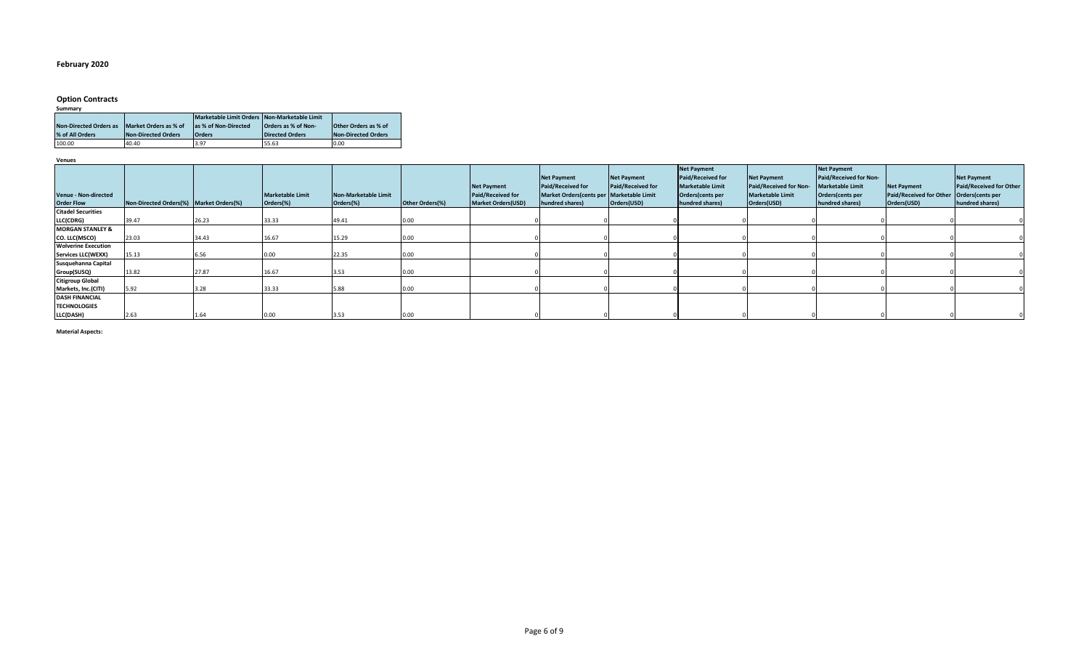## **February 2020**

# **Option Contracts**

| Summary                       |                            |                                              |                         |                             |
|-------------------------------|----------------------------|----------------------------------------------|-------------------------|-----------------------------|
|                               |                            | Marketable Limit Orders Non-Marketable Limit |                         |                             |
| <b>Non-Directed Orders as</b> | Market Orders as % of      | as % of Non-Directed                         | Orders as % of Non-     | <b>Other Orders as % of</b> |
| % of All Orders               | <b>Non-Directed Orders</b> | <b>Orders</b>                                | <b>IDirected Orders</b> | Non-Directed Orders         |
| 100.00                        | 40.40                      | 3.97                                         | 55.63                   | 0.00                        |

**Venues**

| Venue - Non-directed<br><b>Order Flow</b> | Non-Directed Orders(%) Market Orders(%) |       | <b>Marketable Limit</b><br>Orders(%) | Non-Marketable Limit<br>Orders(%) | Other Orders(%) | <b>Net Payment</b><br><b>Paid/Received for</b><br><b>Market Orders(USD)</b> | <b>Net Payment</b><br>Paid/Received for<br>Market Orders(cents per Marketable Limit<br>hundred shares) | <b>Net Payment</b><br>Paid/Received for<br>Orders(USD) | <b>Net Payment</b><br><b>Paid/Received for</b><br><b>Marketable Limit</b><br>Orders(cents per<br>hundred shares) | <b>Net Payment</b><br>Paid/Received for Non-<br><b>Marketable Limit</b><br>Orders(USD) | <b>Net Payment</b><br>Paid/Received for Non-<br><b>Marketable Limit</b><br>Orders(cents per<br>hundred shares) | <b>Net Payment</b><br>Paid/Received for Other Orders (cents per<br>Orders(USD) | <b>Net Payment</b><br>Paid/Received for Other<br>hundred shares) |
|-------------------------------------------|-----------------------------------------|-------|--------------------------------------|-----------------------------------|-----------------|-----------------------------------------------------------------------------|--------------------------------------------------------------------------------------------------------|--------------------------------------------------------|------------------------------------------------------------------------------------------------------------------|----------------------------------------------------------------------------------------|----------------------------------------------------------------------------------------------------------------|--------------------------------------------------------------------------------|------------------------------------------------------------------|
| <b>Citadel Securities</b>                 |                                         |       |                                      |                                   |                 |                                                                             |                                                                                                        |                                                        |                                                                                                                  |                                                                                        |                                                                                                                |                                                                                |                                                                  |
| LLC(CDRG)                                 | 39.47                                   | 26.23 | 33.33                                | 49.41                             | 0.00            |                                                                             |                                                                                                        |                                                        |                                                                                                                  |                                                                                        |                                                                                                                |                                                                                |                                                                  |
| <b>MORGAN STANLEY &amp;</b>               |                                         |       |                                      |                                   |                 |                                                                             |                                                                                                        |                                                        |                                                                                                                  |                                                                                        |                                                                                                                |                                                                                |                                                                  |
| CO. LLC(MSCO)                             | 23.03                                   | 34.43 | 16.67                                | L5.29                             | 0.00            |                                                                             |                                                                                                        |                                                        |                                                                                                                  |                                                                                        |                                                                                                                |                                                                                |                                                                  |
| <b>Wolverine Execution</b>                |                                         |       |                                      |                                   |                 |                                                                             |                                                                                                        |                                                        |                                                                                                                  |                                                                                        |                                                                                                                |                                                                                |                                                                  |
| <b>Services LLC(WEXX)</b>                 | 15.13                                   | 6.56  | 0.00                                 | 22.35                             | 0.00            |                                                                             |                                                                                                        |                                                        |                                                                                                                  |                                                                                        |                                                                                                                |                                                                                |                                                                  |
| Susquehanna Capital                       |                                         |       |                                      |                                   |                 |                                                                             |                                                                                                        |                                                        |                                                                                                                  |                                                                                        |                                                                                                                |                                                                                |                                                                  |
| Group(SUSQ)                               | 13.82                                   | 27.87 | 16.67                                | 3.53                              | 0.00            |                                                                             |                                                                                                        |                                                        |                                                                                                                  |                                                                                        |                                                                                                                |                                                                                |                                                                  |
| <b>Citigroup Global</b>                   |                                         |       |                                      |                                   |                 |                                                                             |                                                                                                        |                                                        |                                                                                                                  |                                                                                        |                                                                                                                |                                                                                |                                                                  |
| Markets, Inc.(CITI)                       | 5.92                                    |       | 33.33                                |                                   | 0.00            |                                                                             |                                                                                                        |                                                        |                                                                                                                  |                                                                                        |                                                                                                                |                                                                                |                                                                  |
| <b>DASH FINANCIAL</b>                     |                                         |       |                                      |                                   |                 |                                                                             |                                                                                                        |                                                        |                                                                                                                  |                                                                                        |                                                                                                                |                                                                                |                                                                  |
| <b>TECHNOLOGIES</b>                       |                                         |       |                                      |                                   |                 |                                                                             |                                                                                                        |                                                        |                                                                                                                  |                                                                                        |                                                                                                                |                                                                                |                                                                  |
| LLC(DASH)                                 | 2.63                                    | 1.64  | 0.00                                 | 3.53                              | 0.00            |                                                                             |                                                                                                        |                                                        |                                                                                                                  |                                                                                        |                                                                                                                |                                                                                |                                                                  |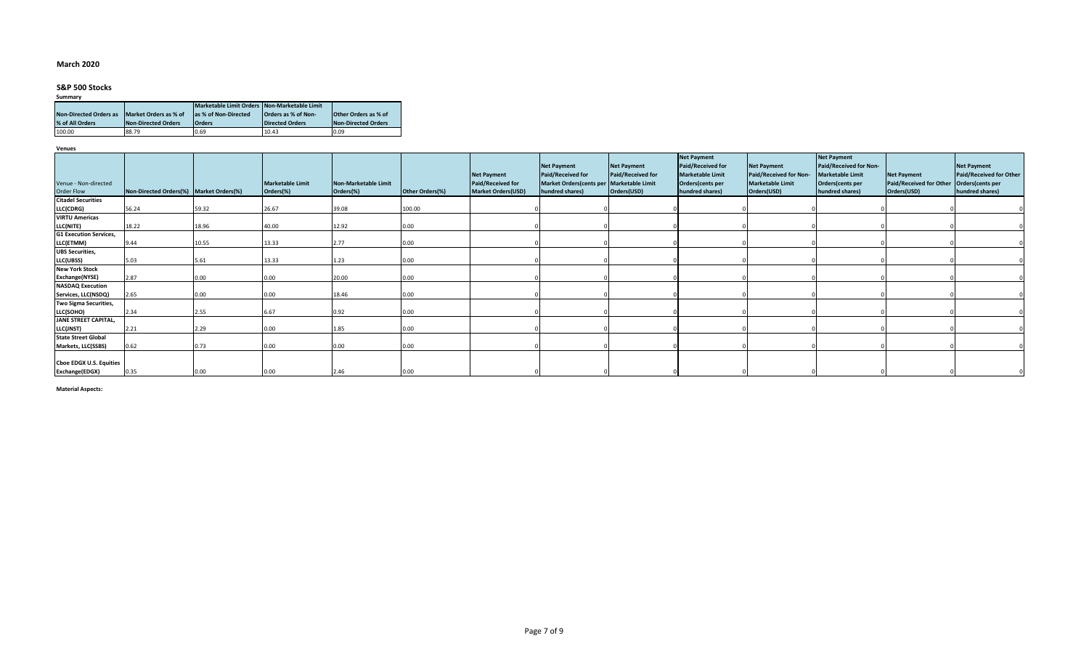## **March 2020**

# **S&P 500 Stocks**

| Summary                       |                       |                                              |                            |                             |  |  |  |  |  |  |  |
|-------------------------------|-----------------------|----------------------------------------------|----------------------------|-----------------------------|--|--|--|--|--|--|--|
|                               |                       | Marketable Limit Orders Non-Marketable Limit |                            |                             |  |  |  |  |  |  |  |
| <b>Non-Directed Orders as</b> | Market Orders as % of | as % of Non-Directed                         | <b>Orders as % of Non-</b> | <b>Other Orders as % of</b> |  |  |  |  |  |  |  |
| % of All Orders               | Non-Directed Orders   | <b>Orders</b>                                | Directed Orders            | Non-Directed Orders         |  |  |  |  |  |  |  |
| 100.00                        | 88.79                 | 0.69                                         | 10.43                      | 0.09                        |  |  |  |  |  |  |  |

**Venues**

|                               |                                         |       |                  |                      |                 |                                                | <b>Net Payment</b>                                                     | <b>Net Payment</b>       | <b>Net Payment</b><br>Paid/Received for     | <b>Net Payment</b>                                | <b>Net Payment</b><br>Paid/Received for Non- |                                                      | <b>Net Payment</b>                          |
|-------------------------------|-----------------------------------------|-------|------------------|----------------------|-----------------|------------------------------------------------|------------------------------------------------------------------------|--------------------------|---------------------------------------------|---------------------------------------------------|----------------------------------------------|------------------------------------------------------|---------------------------------------------|
| Venue - Non-directed          |                                         |       | Marketable Limit | Non-Marketable Limit |                 | <b>Net Payment</b><br><b>Paid/Received for</b> | <b>Paid/Received for</b><br>Market Orders(cents per   Marketable Limit | <b>Paid/Received for</b> | <b>Marketable Limit</b><br>Orders(cents per | Paid/Received for Non-<br><b>Marketable Limit</b> | <b>Marketable Limit</b><br>Orders(cents per  | <b>Net Payment</b><br><b>Paid/Received for Other</b> | Paid/Received for Other<br>Orders(cents per |
| Order Flow                    | Non-Directed Orders(%) Market Orders(%) |       | Orders(%)        | Orders(%)            | Other Orders(%) | <b>Market Orders(USD)</b>                      | hundred shares)                                                        | Orders(USD)              | hundred shares)                             | Orders(USD)                                       | hundred shares)                              | Orders(USD)                                          | hundred shares)                             |
| <b>Citadel Securities</b>     |                                         |       |                  |                      |                 |                                                |                                                                        |                          |                                             |                                                   |                                              |                                                      |                                             |
| LLC(CDRG)                     | 56.24                                   | 59.32 | 26.67            | 39.08                | 100.00          |                                                |                                                                        |                          |                                             |                                                   |                                              |                                                      |                                             |
| <b>VIRTU Americas</b>         |                                         |       |                  |                      |                 |                                                |                                                                        |                          |                                             |                                                   |                                              |                                                      |                                             |
| LLC(NITE)                     | 18.22                                   | 18.96 | 40.00            | 12.92                | 0.00            |                                                |                                                                        |                          |                                             |                                                   |                                              |                                                      |                                             |
| <b>G1 Execution Services,</b> |                                         |       |                  |                      |                 |                                                |                                                                        |                          |                                             |                                                   |                                              |                                                      |                                             |
| LLC(ETMM)                     | 9.44                                    | 10.55 | 13.33            | 2.77                 | 0.00            |                                                |                                                                        |                          |                                             |                                                   |                                              |                                                      |                                             |
| <b>UBS Securities,</b>        |                                         |       |                  |                      |                 |                                                |                                                                        |                          |                                             |                                                   |                                              |                                                      |                                             |
| LLC(UBSS)                     | 5.03                                    | 5.61  | 13.33            | 1.23                 | 0.00            |                                                |                                                                        |                          |                                             |                                                   |                                              |                                                      |                                             |
| <b>New York Stock</b>         |                                         |       |                  |                      |                 |                                                |                                                                        |                          |                                             |                                                   |                                              |                                                      |                                             |
| Exchange(NYSE)                | 2.87                                    | 0.00  | 0.00             | 20.00                | 0.00            |                                                |                                                                        |                          |                                             |                                                   |                                              |                                                      |                                             |
| <b>NASDAQ Execution</b>       |                                         |       |                  |                      |                 |                                                |                                                                        |                          |                                             |                                                   |                                              |                                                      |                                             |
| Services, LLC(NSDQ)           | 2.65                                    | 0.00  | 0.00             | 18.46                | 0.00            |                                                |                                                                        |                          |                                             |                                                   |                                              |                                                      |                                             |
| Two Sigma Securities,         |                                         |       |                  |                      |                 |                                                |                                                                        |                          |                                             |                                                   |                                              |                                                      |                                             |
| LLC(SOHO)                     | 2.34                                    | 2.55  | 6.67             | 0.92                 | 0.00            |                                                |                                                                        |                          |                                             |                                                   |                                              |                                                      |                                             |
| <b>JANE STREET CAPITAL,</b>   |                                         |       |                  |                      |                 |                                                |                                                                        |                          |                                             |                                                   |                                              |                                                      |                                             |
| LLC(JNST)                     | 2.21                                    | 2.29  | 0.00             | 1.85                 | 0.00            |                                                |                                                                        |                          |                                             |                                                   |                                              |                                                      |                                             |
| <b>State Street Global</b>    |                                         |       |                  |                      |                 |                                                |                                                                        |                          |                                             |                                                   |                                              |                                                      |                                             |
| Markets, LLC(SSBS)            | 0.62                                    | 0.73  | 0.00             | 0.00                 | 0.00            |                                                |                                                                        |                          |                                             |                                                   |                                              |                                                      |                                             |
|                               |                                         |       |                  |                      |                 |                                                |                                                                        |                          |                                             |                                                   |                                              |                                                      |                                             |
| Cboe EDGX U.S. Equities       |                                         |       |                  |                      |                 |                                                |                                                                        |                          |                                             |                                                   |                                              |                                                      |                                             |
| Exchange(EDGX)                | 0.35                                    | 0.00  | 0.00             | 2.46                 | 0.00            |                                                |                                                                        |                          |                                             |                                                   |                                              |                                                      |                                             |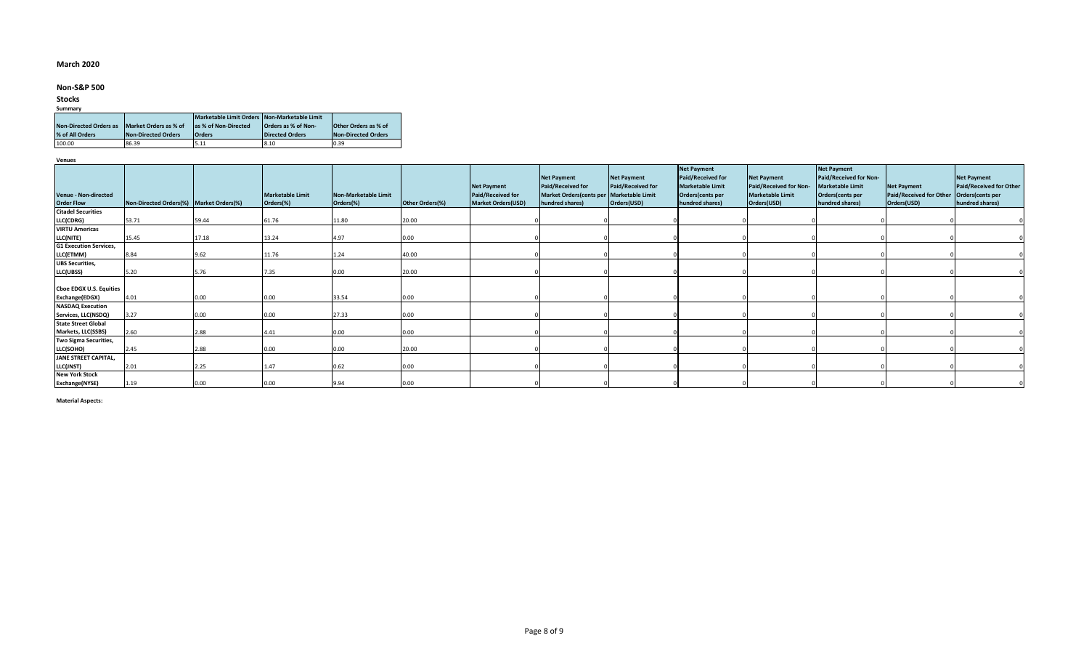## **March 2020**

## **Non-S&P 500**

## **Stocks**

| Summary |                               |                       |                                              |                        |                             |  |  |  |  |  |
|---------|-------------------------------|-----------------------|----------------------------------------------|------------------------|-----------------------------|--|--|--|--|--|
|         |                               |                       | Marketable Limit Orders Non-Marketable Limit |                        |                             |  |  |  |  |  |
|         | <b>Non-Directed Orders as</b> | Market Orders as % of | as % of Non-Directed                         | Orders as % of Non-    | <b>Other Orders as % of</b> |  |  |  |  |  |
|         | % of All Orders               | Non-Directed Orders   | <b>Orders</b>                                | <b>Directed Orders</b> | Non-Directed Orders         |  |  |  |  |  |
|         | 100.00                        | 86.39                 | 5.11                                         | 8.10                   | 0.39                        |  |  |  |  |  |

**Venues**

|                                |                                         |       |                         |                      |                 |                                                | <b>Net Payment</b>                                              | Net Payment       | <b>Net Payment</b><br><b>Paid/Received for</b> | <b>Net Payment</b>                                | <b>Net Payment</b><br>Paid/Received for Non-                   |                                                      | <b>Net Payment</b>                          |
|--------------------------------|-----------------------------------------|-------|-------------------------|----------------------|-----------------|------------------------------------------------|-----------------------------------------------------------------|-------------------|------------------------------------------------|---------------------------------------------------|----------------------------------------------------------------|------------------------------------------------------|---------------------------------------------|
| <b>Venue - Non-directed</b>    |                                         |       | <b>Marketable Limit</b> | Non-Marketable Limit |                 | <b>Net Payment</b><br><b>Paid/Received for</b> | Paid/Received for<br>Market Orders(cents per   Marketable Limit | Paid/Received for | <b>Marketable Limit</b><br>Orders(cents per    | Paid/Received for Non-<br><b>Marketable Limit</b> | <b>Marketable Limit</b><br>Orders(cents per<br>hundred shares) | <b>Net Payment</b><br><b>Paid/Received for Other</b> | Paid/Received for Other<br>Orders(cents per |
| <b>Order Flow</b>              | Non-Directed Orders(%) Market Orders(%) |       | Orders(%)               | Orders(%)            | Other Orders(%) | <b>Market Orders(USD)</b>                      | hundred shares)                                                 | Orders(USD)       | hundred shares)                                | Orders(USD)                                       |                                                                | Orders(USD)                                          | hundred shares)                             |
| <b>Citadel Securities</b>      |                                         |       |                         |                      |                 |                                                |                                                                 |                   |                                                |                                                   |                                                                |                                                      |                                             |
| LLC(CDRG)                      | 53.71                                   | 59.44 | 61.76                   | 11.80                | 20.00           |                                                |                                                                 |                   |                                                |                                                   |                                                                |                                                      |                                             |
| <b>VIRTU Americas</b>          |                                         |       |                         |                      |                 |                                                |                                                                 |                   |                                                |                                                   |                                                                |                                                      |                                             |
| LLC(NITE)                      | 15.45                                   | 17.18 | 13.24                   | 4.97                 | 0.00            |                                                |                                                                 |                   |                                                |                                                   |                                                                |                                                      |                                             |
| <b>G1 Execution Services,</b>  |                                         |       |                         |                      |                 |                                                |                                                                 |                   |                                                |                                                   |                                                                |                                                      |                                             |
| LLC(ETMM)                      | 8.84                                    | 9.62  | 11.76                   | 1.24                 | 40.00           |                                                |                                                                 |                   |                                                |                                                   |                                                                |                                                      |                                             |
| <b>UBS Securities,</b>         |                                         |       |                         |                      |                 |                                                |                                                                 |                   |                                                |                                                   |                                                                |                                                      |                                             |
| LLC(UBSS)                      | 5.20                                    | 5.76  | 7.35                    | 0.00                 | 20.00           |                                                |                                                                 |                   |                                                |                                                   |                                                                |                                                      |                                             |
|                                |                                         |       |                         |                      |                 |                                                |                                                                 |                   |                                                |                                                   |                                                                |                                                      |                                             |
| <b>Choe EDGX U.S. Equities</b> |                                         |       |                         |                      |                 |                                                |                                                                 |                   |                                                |                                                   |                                                                |                                                      |                                             |
| Exchange(EDGX)                 | 4.01                                    | 0.00  | 0.00                    | 33.54                | 0.00            |                                                |                                                                 |                   |                                                |                                                   |                                                                |                                                      |                                             |
| <b>NASDAQ Execution</b>        |                                         |       |                         |                      |                 |                                                |                                                                 |                   |                                                |                                                   |                                                                |                                                      |                                             |
| Services, LLC(NSDQ)            | 3.27                                    | 0.00  | 0.00                    | 27.33                | 0.00            |                                                |                                                                 |                   |                                                |                                                   |                                                                |                                                      |                                             |
| <b>State Street Global</b>     |                                         |       |                         |                      |                 |                                                |                                                                 |                   |                                                |                                                   |                                                                |                                                      |                                             |
| Markets, LLC(SSBS)             | 2.60                                    | 2.88  | 4.41                    | 0.00                 | 0.00            |                                                |                                                                 |                   |                                                |                                                   |                                                                |                                                      |                                             |
| Two Sigma Securities,          |                                         |       |                         |                      |                 |                                                |                                                                 |                   |                                                |                                                   |                                                                |                                                      |                                             |
| LLC(SOHO)                      | 2.45                                    | 2.88  | 0.00                    | 0.00                 | 20.00           |                                                |                                                                 |                   |                                                |                                                   |                                                                |                                                      |                                             |
| JANE STREET CAPITAL,           |                                         |       |                         |                      |                 |                                                |                                                                 |                   |                                                |                                                   |                                                                |                                                      |                                             |
| LLC(JNST)                      | 2.01                                    | 2.25  | 1.47                    | 0.62                 | 0.00            |                                                |                                                                 |                   |                                                |                                                   |                                                                |                                                      |                                             |
| <b>New York Stock</b>          |                                         |       |                         |                      |                 |                                                |                                                                 |                   |                                                |                                                   |                                                                |                                                      |                                             |
| Exchange(NYSE)                 | 1.19                                    | 0.00  | 0.00                    | 9.94                 | 0.00            |                                                |                                                                 |                   |                                                |                                                   |                                                                |                                                      |                                             |